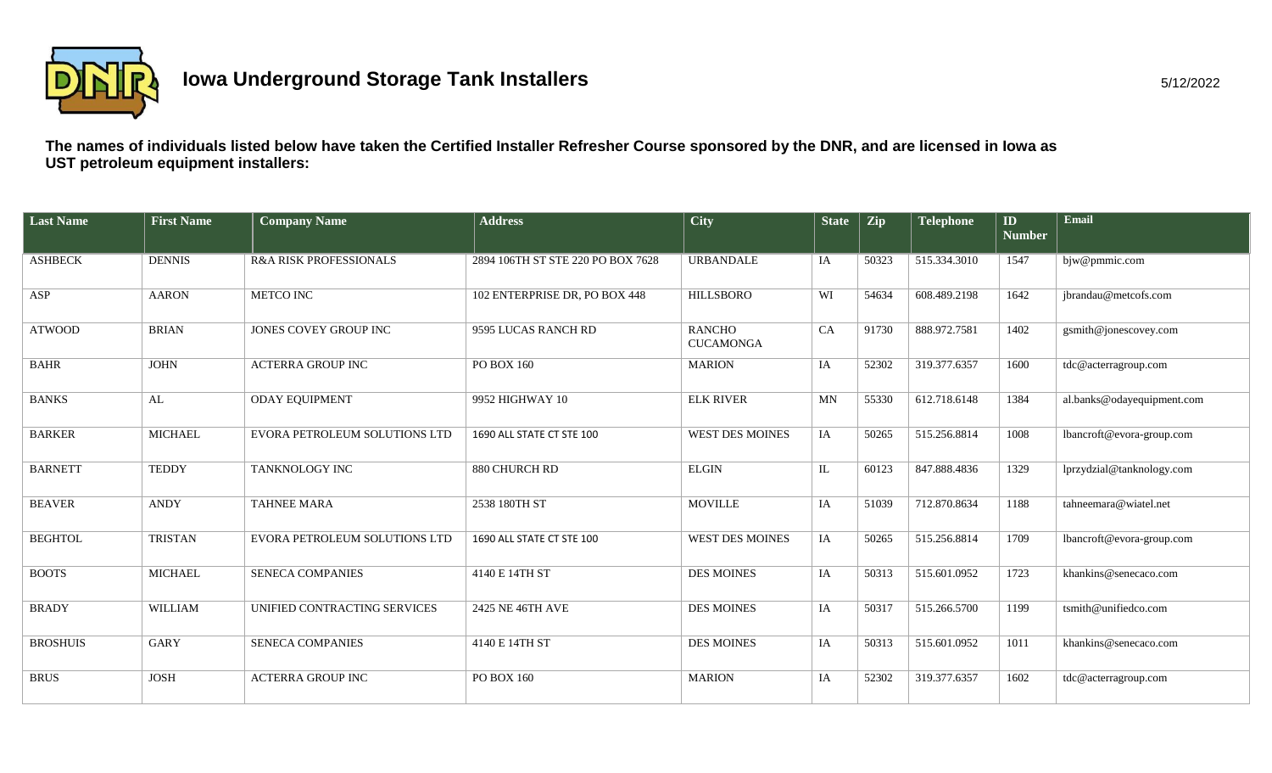

## **Iowa Underground Storage Tank Installers Interventional State of the State of the State of the State of State of the State of the State of the State of the State of the State of the State of the State of the State of th**

**The names of individuals listed below have taken the Certified Installer Refresher Course sponsored by the DNR, and are licensed in Iowa as UST petroleum equipment installers:** 

| <b>Last Name</b> | <b>First Name</b> | <b>Company Name</b>                  | <b>Address</b>                    | City                              | <b>State</b> | Zip   | <b>Telephone</b> | $\mathbf{ID}$<br><b>Number</b> | Email                      |
|------------------|-------------------|--------------------------------------|-----------------------------------|-----------------------------------|--------------|-------|------------------|--------------------------------|----------------------------|
| <b>ASHBECK</b>   | <b>DENNIS</b>     | R&A RISK PROFESSIONALS               | 2894 106TH ST STE 220 PO BOX 7628 | URBANDALE                         | IA           | 50323 | 515.334.3010     | 1547                           | bjw@pmmic.com              |
| ASP              | <b>AARON</b>      | <b>METCO INC</b>                     | 102 ENTERPRISE DR, PO BOX 448     | <b>HILLSBORO</b>                  | WI           | 54634 | 608.489.2198     | 1642                           | jbrandau@metcofs.com       |
| <b>ATWOOD</b>    | <b>BRIAN</b>      | JONES COVEY GROUP INC                | 9595 LUCAS RANCH RD               | <b>RANCHO</b><br><b>CUCAMONGA</b> | CA           | 91730 | 888.972.7581     | 1402                           | gsmith@jonescovey.com      |
| <b>BAHR</b>      | <b>JOHN</b>       | <b>ACTERRA GROUP INC</b>             | PO BOX 160                        | <b>MARION</b>                     | IA           | 52302 | 319.377.6357     | 1600                           | tdc@acterragroup.com       |
| <b>BANKS</b>     | ${\rm AL}$        | <b>ODAY EQUIPMENT</b>                | 9952 HIGHWAY 10                   | <b>ELK RIVER</b>                  | <b>MN</b>    | 55330 | 612.718.6148     | 1384                           | al.banks@odayequipment.com |
| <b>BARKER</b>    | <b>MICHAEL</b>    | <b>EVORA PETROLEUM SOLUTIONS LTD</b> | 1690 ALL STATE CT STE 100         | <b>WEST DES MOINES</b>            | IA           | 50265 | 515.256.8814     | 1008                           | lbancroft@evora-group.com  |
| <b>BARNETT</b>   | <b>TEDDY</b>      | TANKNOLOGY INC                       | 880 CHURCH RD                     | <b>ELGIN</b>                      | IL           | 60123 | 847.888.4836     | 1329                           | lprzydzial@tanknology.com  |
| <b>BEAVER</b>    | <b>ANDY</b>       | <b>TAHNEE MARA</b>                   | 2538 180TH ST                     | <b>MOVILLE</b>                    | IA           | 51039 | 712.870.8634     | 1188                           | tahneemara@wiatel.net      |
| <b>BEGHTOL</b>   | <b>TRISTAN</b>    | EVORA PETROLEUM SOLUTIONS LTD        | 1690 ALL STATE CT STE 100         | WEST DES MOINES                   | IA           | 50265 | 515.256.8814     | 1709                           | lbancroft@evora-group.com  |
| <b>BOOTS</b>     | <b>MICHAEL</b>    | <b>SENECA COMPANIES</b>              | 4140 E 14TH ST                    | <b>DES MOINES</b>                 | IA           | 50313 | 515.601.0952     | 1723                           | khankins@senecaco.com      |
| <b>BRADY</b>     | <b>WILLIAM</b>    | UNIFIED CONTRACTING SERVICES         | 2425 NE 46TH AVE                  | <b>DES MOINES</b>                 | IA           | 50317 | 515.266.5700     | 1199                           | tsmith@unifiedco.com       |
| <b>BROSHUIS</b>  | <b>GARY</b>       | <b>SENECA COMPANIES</b>              | 4140 E 14TH ST                    | <b>DES MOINES</b>                 | IA           | 50313 | 515.601.0952     | 1011                           | khankins@senecaco.com      |
| <b>BRUS</b>      | <b>JOSH</b>       | <b>ACTERRA GROUP INC</b>             | PO BOX 160                        | <b>MARION</b>                     | IA           | 52302 | 319.377.6357     | 1602                           | tdc@acterragroup.com       |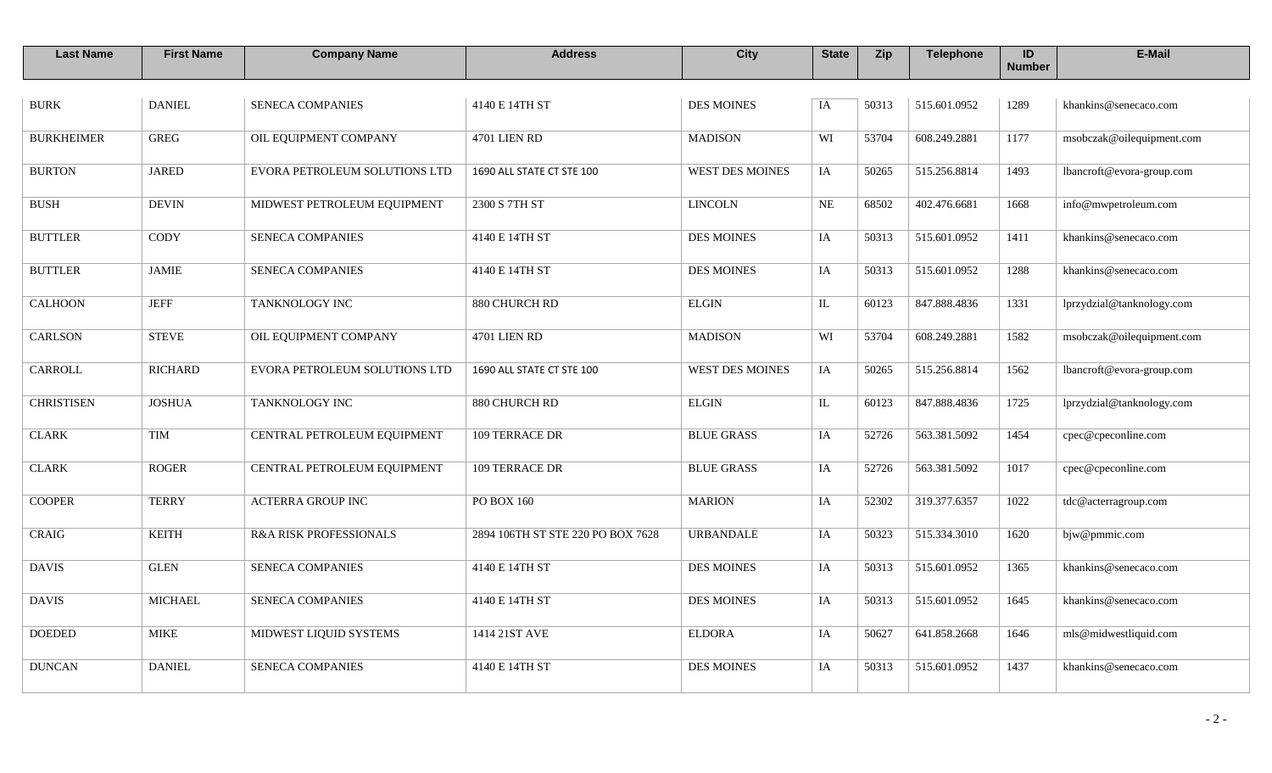| <b>Last Name</b>  | <b>First Name</b> | <b>Company Name</b>               | <b>Address</b>                    | <b>City</b>            | <b>State</b> | Zip   | <b>Telephone</b> | ID<br><b>Number</b> | E-Mail                    |
|-------------------|-------------------|-----------------------------------|-----------------------------------|------------------------|--------------|-------|------------------|---------------------|---------------------------|
| <b>BURK</b>       | <b>DANIEL</b>     | <b>SENECA COMPANIES</b>           | 4140 E 14TH ST                    | <b>DES MOINES</b>      | IA           | 50313 | 515.601.0952     | 1289                | khankins@senecaco.com     |
| <b>BURKHEIMER</b> | <b>GREG</b>       | OIL EQUIPMENT COMPANY             | <b>4701 LIEN RD</b>               | <b>MADISON</b>         | WI           | 53704 | 608.249.2881     | 1177                | msobczak@oilequipment.com |
| <b>BURTON</b>     | <b>JARED</b>      | EVORA PETROLEUM SOLUTIONS LTD     | 1690 ALL STATE CT STE 100         | <b>WEST DES MOINES</b> | IA           | 50265 | 515.256.8814     | 1493                | lbancroft@evora-group.com |
| <b>BUSH</b>       | <b>DEVIN</b>      | MIDWEST PETROLEUM EQUIPMENT       | 2300 S 7TH ST                     | <b>LINCOLN</b>         | $\rm NE$     | 68502 | 402.476.6681     | 1668                | info@mwpetroleum.com      |
| <b>BUTTLER</b>    | <b>CODY</b>       | <b>SENECA COMPANIES</b>           | 4140 E 14TH ST                    | <b>DES MOINES</b>      | IA           | 50313 | 515.601.0952     | 1411                | khankins@senecaco.com     |
| <b>BUTTLER</b>    | <b>JAMIE</b>      | <b>SENECA COMPANIES</b>           | 4140 E 14TH ST                    | <b>DES MOINES</b>      | IA           | 50313 | 515.601.0952     | 1288                | khankins@senecaco.com     |
| <b>CALHOON</b>    | <b>JEFF</b>       | TANKNOLOGY INC                    | 880 CHURCH RD                     | <b>ELGIN</b>           | $\mathbb{L}$ | 60123 | 847.888.4836     | 1331                | lprzydzial@tanknology.com |
| CARLSON           | <b>STEVE</b>      | OIL EQUIPMENT COMPANY             | <b>4701 LIEN RD</b>               | <b>MADISON</b>         | WI           | 53704 | 608.249.2881     | 1582                | msobczak@oilequipment.com |
| CARROLL           | <b>RICHARD</b>    | EVORA PETROLEUM SOLUTIONS LTD     | 1690 ALL STATE CT STE 100         | <b>WEST DES MOINES</b> | IA           | 50265 | 515.256.8814     | 1562                | lbancroft@evora-group.com |
| <b>CHRISTISEN</b> | <b>JOSHUA</b>     | TANKNOLOGY INC                    | 880 CHURCH RD                     | $ELGIN$                | $\mathbf{I}$ | 60123 | 847.888.4836     | 1725                | lprzydzial@tanknology.com |
| <b>CLARK</b>      | TIM               | CENTRAL PETROLEUM EQUIPMENT       | 109 TERRACE DR                    | <b>BLUE GRASS</b>      | IA           | 52726 | 563.381.5092     | 1454                | cpec@cpeconline.com       |
| <b>CLARK</b>      | <b>ROGER</b>      | CENTRAL PETROLEUM EQUIPMENT       | <b>109 TERRACE DR</b>             | <b>BLUE GRASS</b>      | IA           | 52726 | 563.381.5092     | 1017                | cpec@cpeconline.com       |
| <b>COOPER</b>     | <b>TERRY</b>      | <b>ACTERRA GROUP INC</b>          | PO BOX 160                        | <b>MARION</b>          | IA           | 52302 | 319.377.6357     | 1022                | tdc@acterragroup.com      |
| <b>CRAIG</b>      | <b>KEITH</b>      | <b>R&amp;A RISK PROFESSIONALS</b> | 2894 106TH ST STE 220 PO BOX 7628 | <b>URBANDALE</b>       | IA           | 50323 | 515.334.3010     | 1620                | bjw@pmmic.com             |
| <b>DAVIS</b>      | <b>GLEN</b>       | <b>SENECA COMPANIES</b>           | 4140 E 14TH ST                    | <b>DES MOINES</b>      | IA           | 50313 | 515.601.0952     | 1365                | khankins@senecaco.com     |
| <b>DAVIS</b>      | <b>MICHAEL</b>    | <b>SENECA COMPANIES</b>           | 4140 E 14TH ST                    | DES MOINES             | IA           | 50313 | 515.601.0952     | 1645                | khankins@senecaco.com     |
| <b>DOEDED</b>     | <b>MIKE</b>       | MIDWEST LIQUID SYSTEMS            | 1414 21ST AVE                     | <b>ELDORA</b>          | IA           | 50627 | 641.858.2668     | 1646                | mls@midwestliquid.com     |
| <b>DUNCAN</b>     | <b>DANIEL</b>     | <b>SENECA COMPANIES</b>           | 4140 E 14TH ST                    | <b>DES MOINES</b>      | IA           | 50313 | 515.601.0952     | 1437                | khankins@senecaco.com     |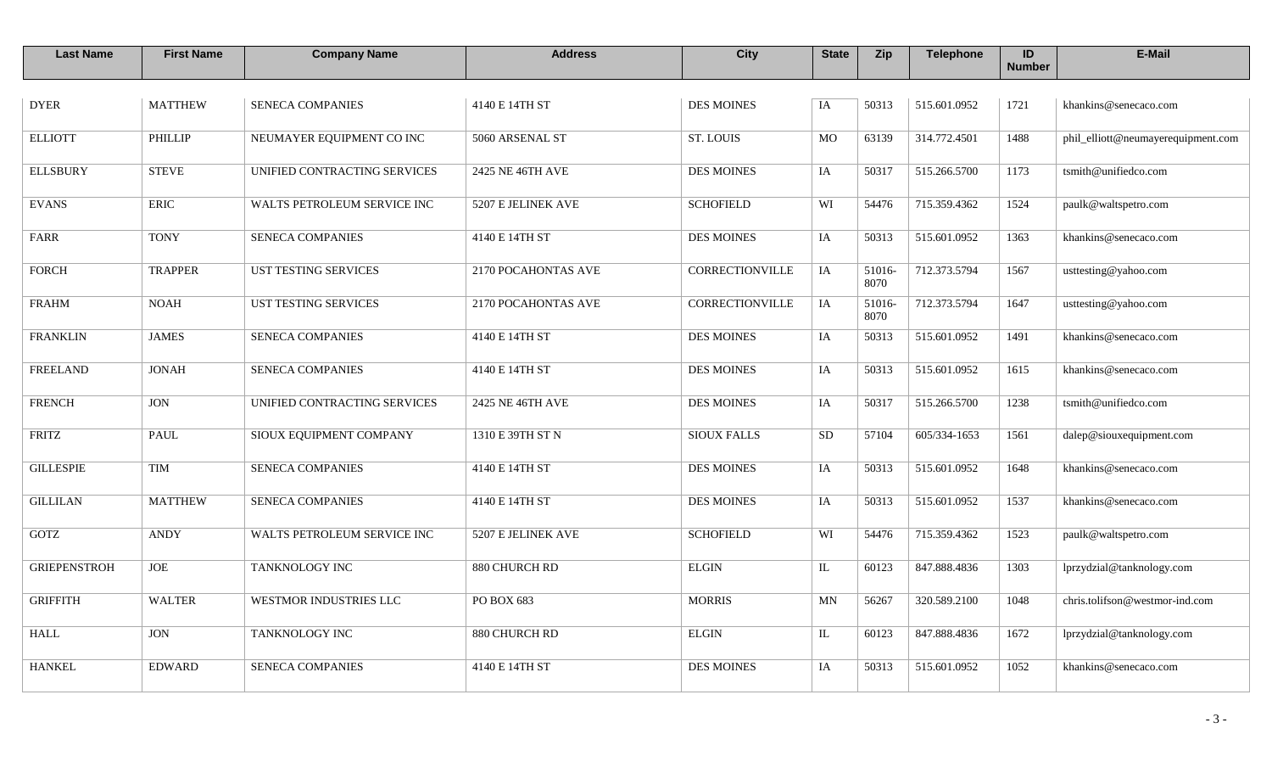| <b>Last Name</b>    | <b>First Name</b> | <b>Company Name</b>          | <b>Address</b>      | <b>City</b>            | <b>State</b> | Zip            | <b>Telephone</b> | ID<br><b>Number</b> | E-Mail                             |
|---------------------|-------------------|------------------------------|---------------------|------------------------|--------------|----------------|------------------|---------------------|------------------------------------|
|                     |                   |                              |                     |                        |              |                |                  |                     |                                    |
| <b>DYER</b>         | <b>MATTHEW</b>    | <b>SENECA COMPANIES</b>      | 4140 E 14TH ST      | <b>DES MOINES</b>      | IA           | 50313          | 515.601.0952     | 1721                | khankins@senecaco.com              |
| <b>ELLIOTT</b>      | PHILLIP           | NEUMAYER EQUIPMENT CO INC    | 5060 ARSENAL ST     | <b>ST. LOUIS</b>       | MO           | 63139          | 314.772.4501     | 1488                | phil_elliott@neumayerequipment.com |
| <b>ELLSBURY</b>     | <b>STEVE</b>      | UNIFIED CONTRACTING SERVICES | 2425 NE 46TH AVE    | <b>DES MOINES</b>      | IA           | 50317          | 515.266.5700     | 1173                | tsmith@unifiedco.com               |
| <b>EVANS</b>        | <b>ERIC</b>       | WALTS PETROLEUM SERVICE INC  | 5207 E JELINEK AVE  | <b>SCHOFIELD</b>       | WI           | 54476          | 715.359.4362     | 1524                | paulk@waltspetro.com               |
| <b>FARR</b>         | <b>TONY</b>       | <b>SENECA COMPANIES</b>      | 4140 E 14TH ST      | <b>DES MOINES</b>      | IA           | 50313          | 515.601.0952     | 1363                | khankins@senecaco.com              |
| <b>FORCH</b>        | <b>TRAPPER</b>    | <b>UST TESTING SERVICES</b>  | 2170 POCAHONTAS AVE | <b>CORRECTIONVILLE</b> | IA           | 51016-<br>8070 | 712.373.5794     | 1567                | usttesting@yahoo.com               |
| <b>FRAHM</b>        | <b>NOAH</b>       | <b>UST TESTING SERVICES</b>  | 2170 POCAHONTAS AVE | CORRECTIONVILLE        | IA           | 51016-<br>8070 | 712.373.5794     | 1647                | usttesting@yahoo.com               |
| <b>FRANKLIN</b>     | <b>JAMES</b>      | <b>SENECA COMPANIES</b>      | 4140 E 14TH ST      | <b>DES MOINES</b>      | IA           | 50313          | 515.601.0952     | 1491                | khankins@senecaco.com              |
| <b>FREELAND</b>     | <b>JONAH</b>      | <b>SENECA COMPANIES</b>      | 4140 E 14TH ST      | <b>DES MOINES</b>      | IA           | 50313          | 515.601.0952     | 1615                | khankins@senecaco.com              |
| <b>FRENCH</b>       | <b>JON</b>        | UNIFIED CONTRACTING SERVICES | 2425 NE 46TH AVE    | <b>DES MOINES</b>      | IA           | 50317          | 515.266.5700     | 1238                | tsmith@unifiedco.com               |
| <b>FRITZ</b>        | <b>PAUL</b>       | SIOUX EQUIPMENT COMPANY      | 1310 E 39TH ST N    | <b>SIOUX FALLS</b>     | <b>SD</b>    | 57104          | 605/334-1653     | 1561                | dalep@siouxequipment.com           |
| <b>GILLESPIE</b>    | TIM               | <b>SENECA COMPANIES</b>      | 4140 E 14TH ST      | <b>DES MOINES</b>      | IA           | 50313          | 515.601.0952     | 1648                | khankins@senecaco.com              |
| <b>GILLILAN</b>     | <b>MATTHEW</b>    | <b>SENECA COMPANIES</b>      | 4140 E 14TH ST      | <b>DES MOINES</b>      | IA           | 50313          | 515.601.0952     | 1537                | khankins@senecaco.com              |
| <b>GOTZ</b>         | <b>ANDY</b>       | WALTS PETROLEUM SERVICE INC  | 5207 E JELINEK AVE  | <b>SCHOFIELD</b>       | WI           | 54476          | 715.359.4362     | 1523                | paulk@waltspetro.com               |
| <b>GRIEPENSTROH</b> | <b>JOE</b>        | TANKNOLOGY INC               | 880 CHURCH RD       | $\rm ELGIN$            | $\mathbb{L}$ | 60123          | 847.888.4836     | 1303                | lprzydzial@tanknology.com          |
| <b>GRIFFITH</b>     | <b>WALTER</b>     | WESTMOR INDUSTRIES LLC       | PO BOX 683          | <b>MORRIS</b>          | MN           | 56267          | 320.589.2100     | 1048                | chris.tolifson@westmor-ind.com     |
| <b>HALL</b>         | <b>JON</b>        | TANKNOLOGY INC               | 880 CHURCH RD       | <b>ELGIN</b>           | IL           | 60123          | 847.888.4836     | 1672                | lprzydzial@tanknology.com          |
| <b>HANKEL</b>       | <b>EDWARD</b>     | <b>SENECA COMPANIES</b>      | 4140 E 14TH ST      | <b>DES MOINES</b>      | IA           | 50313          | 515.601.0952     | 1052                | khankins@senecaco.com              |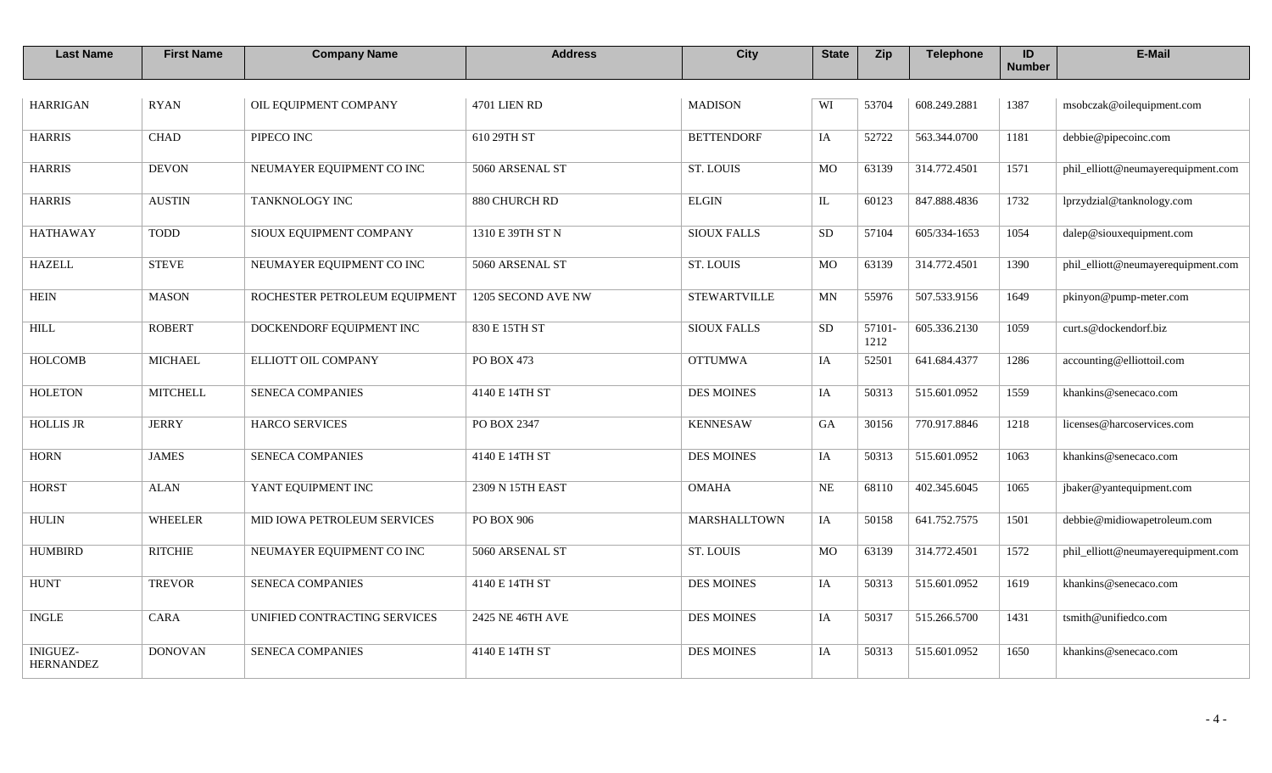| <b>Last Name</b>                    | <b>First Name</b> | <b>Company Name</b>           | <b>Address</b>     | <b>City</b>         | <b>State</b>             | Zip            | <b>Telephone</b> | ID<br><b>Number</b> | E-Mail                             |
|-------------------------------------|-------------------|-------------------------------|--------------------|---------------------|--------------------------|----------------|------------------|---------------------|------------------------------------|
| <b>HARRIGAN</b>                     | <b>RYAN</b>       | OIL EQUIPMENT COMPANY         | 4701 LIEN RD       | <b>MADISON</b>      | WI                       | 53704          | 608.249.2881     | 1387                | msobczak@oilequipment.com          |
| <b>HARRIS</b>                       | <b>CHAD</b>       | PIPECO INC                    | 610 29TH ST        | <b>BETTENDORF</b>   | IA                       | 52722          | 563.344.0700     | 1181                | debbie@pipecoinc.com               |
| <b>HARRIS</b>                       | <b>DEVON</b>      | NEUMAYER EQUIPMENT CO INC     | 5060 ARSENAL ST    | <b>ST. LOUIS</b>    | MO                       | 63139          | 314.772.4501     | 1571                | phil_elliott@neumayerequipment.com |
| <b>HARRIS</b>                       | <b>AUSTIN</b>     | TANKNOLOGY INC                | 880 CHURCH RD      | $\rm ELGIN$         | $\mathbf{I}$             | 60123          | 847.888.4836     | 1732                | lprzydzial@tanknology.com          |
| <b>HATHAWAY</b>                     | <b>TODD</b>       | SIOUX EQUIPMENT COMPANY       | 1310 E 39TH ST N   | <b>SIOUX FALLS</b>  | <b>SD</b>                | 57104          | 605/334-1653     | 1054                | dalep@siouxequipment.com           |
| <b>HAZELL</b>                       | <b>STEVE</b>      | NEUMAYER EQUIPMENT CO INC     | 5060 ARSENAL ST    | ST. LOUIS           | $_{\rm MO}$              | 63139          | 314.772.4501     | 1390                | phil_elliott@neumayerequipment.com |
| <b>HEIN</b>                         | <b>MASON</b>      | ROCHESTER PETROLEUM EQUIPMENT | 1205 SECOND AVE NW | <b>STEWARTVILLE</b> | $\ensuremath{\text{MN}}$ | 55976          | 507.533.9156     | 1649                | pkinyon@pump-meter.com             |
| <b>HILL</b>                         | <b>ROBERT</b>     | DOCKENDORF EQUIPMENT INC      | 830 E 15TH ST      | <b>SIOUX FALLS</b>  | <b>SD</b>                | 57101-<br>1212 | 605.336.2130     | 1059                | curt.s@dockendorf.biz              |
| <b>HOLCOMB</b>                      | <b>MICHAEL</b>    | ELLIOTT OIL COMPANY           | PO BOX 473         | <b>OTTUMWA</b>      | IA                       | 52501          | 641.684.4377     | 1286                | accounting@elliottoil.com          |
| <b>HOLETON</b>                      | <b>MITCHELL</b>   | <b>SENECA COMPANIES</b>       | 4140 E 14TH ST     | <b>DES MOINES</b>   | IA                       | 50313          | 515.601.0952     | 1559                | khankins@senecaco.com              |
| <b>HOLLIS JR</b>                    | <b>JERRY</b>      | HARCO SERVICES                | PO BOX 2347        | <b>KENNESAW</b>     | GA                       | 30156          | 770.917.8846     | 1218                | licenses@harcoservices.com         |
| <b>HORN</b>                         | <b>JAMES</b>      | SENECA COMPANIES              | 4140 E 14TH ST     | <b>DES MOINES</b>   | IA                       | 50313          | 515.601.0952     | 1063                | khankins@senecaco.com              |
| <b>HORST</b>                        | <b>ALAN</b>       | YANT EQUIPMENT INC            | 2309 N 15TH EAST   | <b>OMAHA</b>        | NE                       | 68110          | 402.345.6045     | 1065                | jbaker@yantequipment.com           |
| <b>HULIN</b>                        | WHEELER           | MID IOWA PETROLEUM SERVICES   | PO BOX 906         | MARSHALLTOWN        | IA                       | 50158          | 641.752.7575     | 1501                | debbie@midiowapetroleum.com        |
| <b>HUMBIRD</b>                      | <b>RITCHIE</b>    | NEUMAYER EQUIPMENT CO INC     | 5060 ARSENAL ST    | <b>ST. LOUIS</b>    | MO                       | 63139          | 314.772.4501     | 1572                | phil_elliott@neumayerequipment.com |
| <b>HUNT</b>                         | <b>TREVOR</b>     | <b>SENECA COMPANIES</b>       | 4140 E 14TH ST     | <b>DES MOINES</b>   | IA                       | 50313          | 515.601.0952     | 1619                | khankins@senecaco.com              |
| <b>INGLE</b>                        | <b>CARA</b>       | UNIFIED CONTRACTING SERVICES  | 2425 NE 46TH AVE   | <b>DES MOINES</b>   | IA                       | 50317          | 515.266.5700     | 1431                | tsmith@unifiedco.com               |
| <b>INIGUEZ-</b><br><b>HERNANDEZ</b> | <b>DONOVAN</b>    | <b>SENECA COMPANIES</b>       | 4140 E 14TH ST     | <b>DES MOINES</b>   | IA                       | 50313          | 515.601.0952     | 1650                | khankins@senecaco.com              |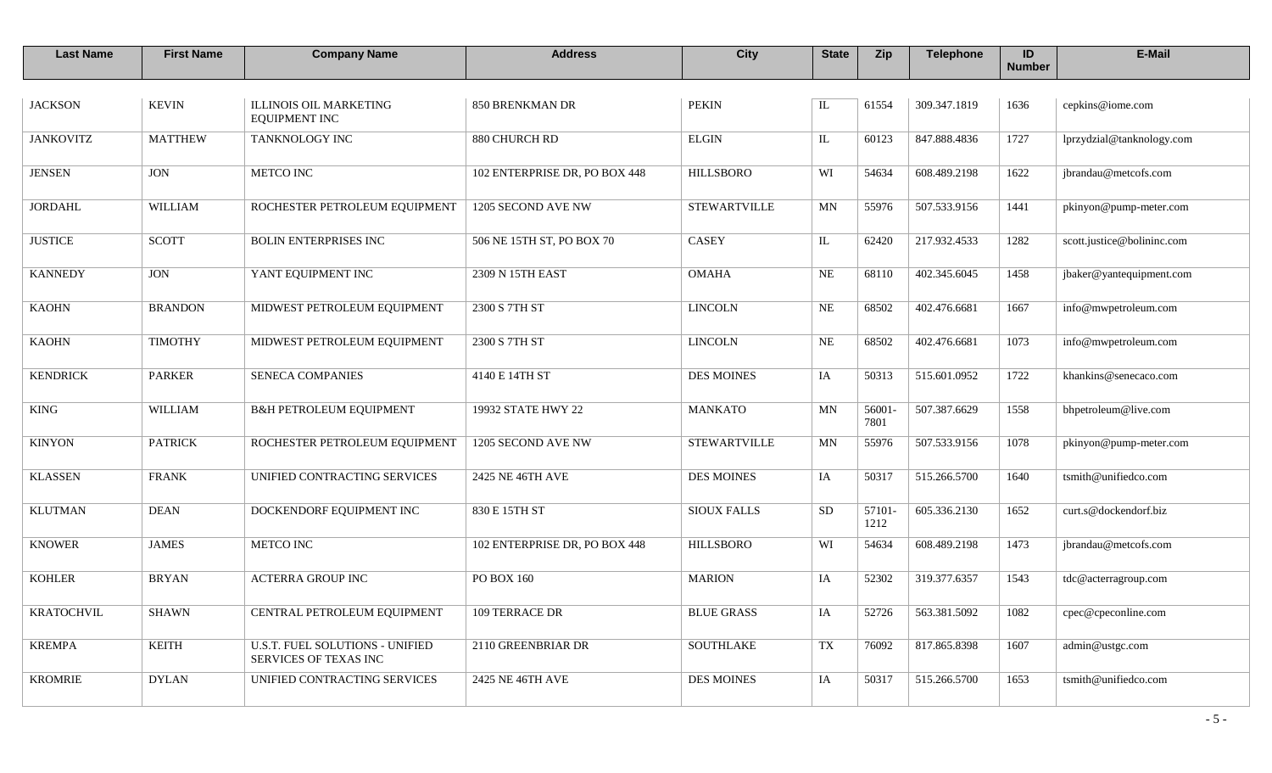| <b>Last Name</b>  | <b>First Name</b> | <b>Company Name</b>                                             | <b>Address</b>                | <b>City</b>         | <b>State</b> | Zip            | <b>Telephone</b> | ID<br><b>Number</b> | E-Mail                     |
|-------------------|-------------------|-----------------------------------------------------------------|-------------------------------|---------------------|--------------|----------------|------------------|---------------------|----------------------------|
|                   |                   |                                                                 |                               |                     |              |                |                  |                     |                            |
| <b>JACKSON</b>    | <b>KEVIN</b>      | <b>ILLINOIS OIL MARKETING</b><br><b>EQUIPMENT INC</b>           | 850 BRENKMAN DR               | <b>PEKIN</b>        | IL           | 61554          | 309.347.1819     | 1636                | cepkins@iome.com           |
| <b>JANKOVITZ</b>  | <b>MATTHEW</b>    | TANKNOLOGY INC                                                  | 880 CHURCH RD                 | <b>ELGIN</b>        | IL           | 60123          | 847.888.4836     | 1727                | lprzydzial@tanknology.com  |
| <b>JENSEN</b>     | <b>JON</b>        | METCO INC                                                       | 102 ENTERPRISE DR, PO BOX 448 | <b>HILLSBORO</b>    | WI           | 54634          | 608.489.2198     | 1622                | jbrandau@metcofs.com       |
| <b>JORDAHL</b>    | <b>WILLIAM</b>    | ROCHESTER PETROLEUM EQUIPMENT                                   | 1205 SECOND AVE NW            | <b>STEWARTVILLE</b> | MN           | 55976          | 507.533.9156     | 1441                | pkinyon@pump-meter.com     |
| <b>JUSTICE</b>    | <b>SCOTT</b>      | <b>BOLIN ENTERPRISES INC</b>                                    | 506 NE 15TH ST, PO BOX 70     | <b>CASEY</b>        | IL           | 62420          | 217.932.4533     | 1282                | scott.justice@bolininc.com |
| <b>KANNEDY</b>    | <b>JON</b>        | YANT EQUIPMENT INC                                              | 2309 N 15TH EAST              | <b>OMAHA</b>        | <b>NE</b>    | 68110          | 402.345.6045     | 1458                | jbaker@yantequipment.com   |
| <b>KAOHN</b>      | <b>BRANDON</b>    | MIDWEST PETROLEUM EQUIPMENT                                     | 2300 S 7TH ST                 | <b>LINCOLN</b>      | $\rm NE$     | 68502          | 402.476.6681     | 1667                | info@mwpetroleum.com       |
| <b>KAOHN</b>      | <b>TIMOTHY</b>    | MIDWEST PETROLEUM EQUIPMENT                                     | 2300 S 7TH ST                 | <b>LINCOLN</b>      | $\rm NE$     | 68502          | 402.476.6681     | 1073                | info@mwpetroleum.com       |
| <b>KENDRICK</b>   | <b>PARKER</b>     | SENECA COMPANIES                                                | 4140 E 14TH ST                | <b>DES MOINES</b>   | IA           | 50313          | 515.601.0952     | 1722                | khankins@senecaco.com      |
| <b>KING</b>       | <b>WILLIAM</b>    | <b>B&amp;H PETROLEUM EQUIPMENT</b>                              | 19932 STATE HWY 22            | <b>MANKATO</b>      | MN           | 56001-<br>7801 | 507.387.6629     | 1558                | bhpetroleum@live.com       |
| <b>KINYON</b>     | <b>PATRICK</b>    | ROCHESTER PETROLEUM EQUIPMENT                                   | 1205 SECOND AVE NW            | <b>STEWARTVILLE</b> | MN           | 55976          | 507.533.9156     | 1078                | pkinyon@pump-meter.com     |
| <b>KLASSEN</b>    | <b>FRANK</b>      | UNIFIED CONTRACTING SERVICES                                    | 2425 NE 46TH AVE              | <b>DES MOINES</b>   | IA           | 50317          | 515.266.5700     | 1640                | tsmith@unifiedco.com       |
| <b>KLUTMAN</b>    | <b>DEAN</b>       | DOCKENDORF EQUIPMENT INC                                        | 830 E 15TH ST                 | <b>SIOUX FALLS</b>  | <b>SD</b>    | 57101-<br>1212 | 605.336.2130     | 1652                | curt.s@dockendorf.biz      |
| <b>KNOWER</b>     | <b>JAMES</b>      | METCO INC                                                       | 102 ENTERPRISE DR, PO BOX 448 | <b>HILLSBORO</b>    | WI           | 54634          | 608.489.2198     | 1473                | jbrandau@metcofs.com       |
| <b>KOHLER</b>     | <b>BRYAN</b>      | <b>ACTERRA GROUP INC</b>                                        | PO BOX 160                    | <b>MARION</b>       | IA           | 52302          | 319.377.6357     | 1543                | tdc@acterragroup.com       |
| <b>KRATOCHVIL</b> | <b>SHAWN</b>      | CENTRAL PETROLEUM EQUIPMENT                                     | 109 TERRACE DR                | <b>BLUE GRASS</b>   | IA           | 52726          | 563.381.5092     | 1082                | cpec@cpeconline.com        |
| <b>KREMPA</b>     | <b>KEITH</b>      | <b>U.S.T. FUEL SOLUTIONS - UNIFIED</b><br>SERVICES OF TEXAS INC | 2110 GREENBRIAR DR            | SOUTHLAKE           | TX           | 76092          | 817.865.8398     | 1607                | admin@ustgc.com            |
| <b>KROMRIE</b>    | <b>DYLAN</b>      | UNIFIED CONTRACTING SERVICES                                    | 2425 NE 46TH AVE              | <b>DES MOINES</b>   | IA           | 50317          | 515.266.5700     | 1653                | tsmith@unifiedco.com       |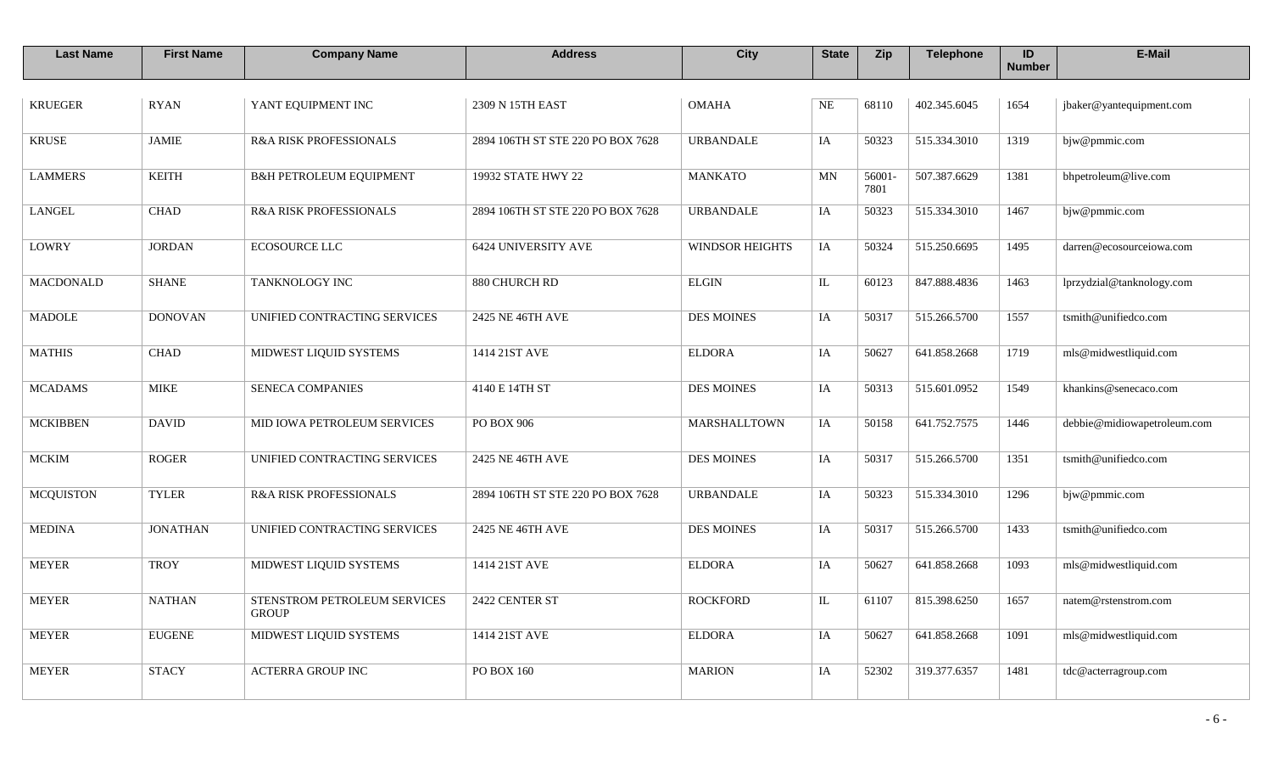| <b>Last Name</b> | <b>First Name</b> | <b>Company Name</b>                          | <b>Address</b>                    | <b>City</b>            | <b>State</b> | Zip           | <b>Telephone</b> | ID<br><b>Number</b> | E-Mail                      |
|------------------|-------------------|----------------------------------------------|-----------------------------------|------------------------|--------------|---------------|------------------|---------------------|-----------------------------|
|                  |                   |                                              |                                   |                        |              |               |                  |                     |                             |
| <b>KRUEGER</b>   | <b>RYAN</b>       | YANT EQUIPMENT INC                           | 2309 N 15TH EAST                  | <b>OMAHA</b>           | NE           | 68110         | 402.345.6045     | 1654                | jbaker@yantequipment.com    |
| <b>KRUSE</b>     | <b>JAMIE</b>      | R&A RISK PROFESSIONALS                       | 2894 106TH ST STE 220 PO BOX 7628 | <b>URBANDALE</b>       | IA           | 50323         | 515.334.3010     | 1319                | bjw@pmmic.com               |
| <b>LAMMERS</b>   | <b>KEITH</b>      | <b>B&amp;H PETROLEUM EQUIPMENT</b>           | 19932 STATE HWY 22                | <b>MANKATO</b>         | MN           | 56001<br>7801 | 507.387.6629     | 1381                | bhpetroleum@live.com        |
| <b>LANGEL</b>    | <b>CHAD</b>       | <b>R&amp;A RISK PROFESSIONALS</b>            | 2894 106TH ST STE 220 PO BOX 7628 | <b>URBANDALE</b>       | IA           | 50323         | 515.334.3010     | 1467                | bjw@pmmic.com               |
| LOWRY            | <b>JORDAN</b>     | <b>ECOSOURCE LLC</b>                         | <b>6424 UNIVERSITY AVE</b>        | <b>WINDSOR HEIGHTS</b> | IA           | 50324         | 515.250.6695     | 1495                | darren@ecosourceiowa.com    |
| <b>MACDONALD</b> | <b>SHANE</b>      | TANKNOLOGY INC                               | 880 CHURCH RD                     | <b>ELGIN</b>           | IL           | 60123         | 847.888.4836     | 1463                | lprzydzial@tanknology.com   |
| <b>MADOLE</b>    | <b>DONOVAN</b>    | UNIFIED CONTRACTING SERVICES                 | 2425 NE 46TH AVE                  | <b>DES MOINES</b>      | IA           | 50317         | 515.266.5700     | 1557                | tsmith@unifiedco.com        |
| <b>MATHIS</b>    | <b>CHAD</b>       | MIDWEST LIQUID SYSTEMS                       | 1414 21ST AVE                     | <b>ELDORA</b>          | IA           | 50627         | 641.858.2668     | 1719                | mls@midwestliquid.com       |
| <b>MCADAMS</b>   | <b>MIKE</b>       | <b>SENECA COMPANIES</b>                      | 4140 E 14TH ST                    | <b>DES MOINES</b>      | IA           | 50313         | 515.601.0952     | 1549                | khankins@senecaco.com       |
| <b>MCKIBBEN</b>  | <b>DAVID</b>      | MID IOWA PETROLEUM SERVICES                  | PO BOX 906                        | MARSHALLTOWN           | IA           | 50158         | 641.752.7575     | 1446                | debbie@midiowapetroleum.com |
| <b>MCKIM</b>     | <b>ROGER</b>      | UNIFIED CONTRACTING SERVICES                 | 2425 NE 46TH AVE                  | <b>DES MOINES</b>      | IA           | 50317         | 515.266.5700     | 1351                | tsmith@unifiedco.com        |
| <b>MCQUISTON</b> | <b>TYLER</b>      | <b>R&amp;A RISK PROFESSIONALS</b>            | 2894 106TH ST STE 220 PO BOX 7628 | <b>URBANDALE</b>       | IA           | 50323         | 515.334.3010     | 1296                | bjw@pmmic.com               |
| <b>MEDINA</b>    | <b>JONATHAN</b>   | UNIFIED CONTRACTING SERVICES                 | 2425 NE 46TH AVE                  | <b>DES MOINES</b>      | IA           | 50317         | 515.266.5700     | 1433                | tsmith@unifiedco.com        |
| <b>MEYER</b>     | <b>TROY</b>       | MIDWEST LIQUID SYSTEMS                       | 1414 21ST AVE                     | <b>ELDORA</b>          | IA           | 50627         | 641.858.2668     | 1093                | mls@midwestliquid.com       |
| <b>MEYER</b>     | <b>NATHAN</b>     | STENSTROM PETROLEUM SERVICES<br><b>GROUP</b> | 2422 CENTER ST                    | <b>ROCKFORD</b>        | IL           | 61107         | 815.398.6250     | 1657                | natem@rstenstrom.com        |
| <b>MEYER</b>     | <b>EUGENE</b>     | MIDWEST LIQUID SYSTEMS                       | 1414 21ST AVE                     | <b>ELDORA</b>          | IA           | 50627         | 641.858.2668     | 1091                | mls@midwestliquid.com       |
| <b>MEYER</b>     | <b>STACY</b>      | <b>ACTERRA GROUP INC</b>                     | PO BOX 160                        | <b>MARION</b>          | IA           | 52302         | 319.377.6357     | 1481                | tdc@acterragroup.com        |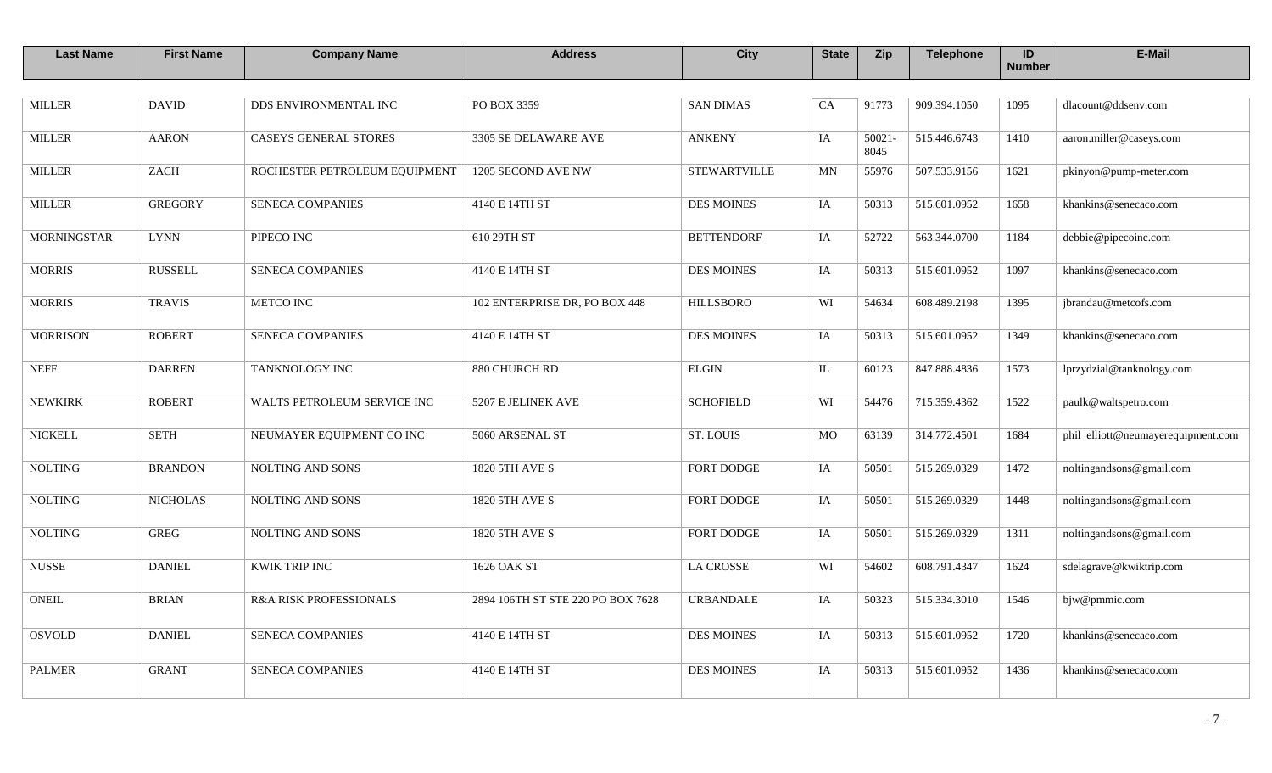| <b>Last Name</b>   | <b>First Name</b> | <b>Company Name</b>           | <b>Address</b>                    | <b>City</b>         | <b>State</b> | Zip           | <b>Telephone</b> | ID<br><b>Number</b> | E-Mail                             |
|--------------------|-------------------|-------------------------------|-----------------------------------|---------------------|--------------|---------------|------------------|---------------------|------------------------------------|
| <b>MILLER</b>      | <b>DAVID</b>      | DDS ENVIRONMENTAL INC         | PO BOX 3359                       | <b>SAN DIMAS</b>    | CA           | 91773         | 909.394.1050     | 1095                | dlacount@ddsenv.com                |
| <b>MILLER</b>      | <b>AARON</b>      | CASEYS GENERAL STORES         | 3305 SE DELAWARE AVE              | <b>ANKENY</b>       | IA           | 50021<br>8045 | 515.446.6743     | 1410                | aaron.miller@caseys.com            |
| <b>MILLER</b>      | ZACH              | ROCHESTER PETROLEUM EQUIPMENT | 1205 SECOND AVE NW                | <b>STEWARTVILLE</b> | MN           | 55976         | 507.533.9156     | 1621                | pkinyon@pump-meter.com             |
| <b>MILLER</b>      | <b>GREGORY</b>    | <b>SENECA COMPANIES</b>       | 4140 E 14TH ST                    | <b>DES MOINES</b>   | IA           | 50313         | 515.601.0952     | 1658                | khankins@senecaco.com              |
| <b>MORNINGSTAR</b> | <b>LYNN</b>       | PIPECO INC                    | 610 29TH ST                       | <b>BETTENDORF</b>   | IA           | 52722         | 563.344.0700     | 1184                | debbie@pipecoinc.com               |
| <b>MORRIS</b>      | <b>RUSSELL</b>    | <b>SENECA COMPANIES</b>       | 4140 E 14TH ST                    | <b>DES MOINES</b>   | IA           | 50313         | 515.601.0952     | 1097                | khankins@senecaco.com              |
| <b>MORRIS</b>      | <b>TRAVIS</b>     | <b>METCO INC</b>              | 102 ENTERPRISE DR, PO BOX 448     | <b>HILLSBORO</b>    | WI           | 54634         | 608.489.2198     | 1395                | jbrandau@metcofs.com               |
| <b>MORRISON</b>    | <b>ROBERT</b>     | <b>SENECA COMPANIES</b>       | 4140 E 14TH ST                    | <b>DES MOINES</b>   | IA           | 50313         | 515.601.0952     | 1349                | khankins@senecaco.com              |
| <b>NEFF</b>        | <b>DARREN</b>     | TANKNOLOGY INC                | 880 CHURCH RD                     | <b>ELGIN</b>        | IL           | 60123         | 847.888.4836     | 1573                | lprzydzial@tanknology.com          |
| <b>NEWKIRK</b>     | <b>ROBERT</b>     | WALTS PETROLEUM SERVICE INC   | 5207 E JELINEK AVE                | <b>SCHOFIELD</b>    | WI           | 54476         | 715.359.4362     | 1522                | paulk@waltspetro.com               |
| <b>NICKELL</b>     | <b>SETH</b>       | NEUMAYER EQUIPMENT CO INC     | 5060 ARSENAL ST                   | <b>ST. LOUIS</b>    | MO           | 63139         | 314.772.4501     | 1684                | phil_elliott@neumayerequipment.com |
| <b>NOLTING</b>     | <b>BRANDON</b>    | <b>NOLTING AND SONS</b>       | 1820 5TH AVE S                    | FORT DODGE          | $\rm IA$     | 50501         | 515.269.0329     | 1472                | noltingandsons@gmail.com           |
| <b>NOLTING</b>     | <b>NICHOLAS</b>   | <b>NOLTING AND SONS</b>       | 1820 5TH AVE S                    | <b>FORT DODGE</b>   | IA           | 50501         | 515.269.0329     | 1448                | noltingandsons@gmail.com           |
| <b>NOLTING</b>     | <b>GREG</b>       | NOLTING AND SONS              | 1820 5TH AVE S                    | FORT DODGE          | $\rm IA$     | 50501         | 515.269.0329     | 1311                | noltingandsons@gmail.com           |
| <b>NUSSE</b>       | <b>DANIEL</b>     | <b>KWIK TRIP INC</b>          | 1626 OAK ST                       | <b>LA CROSSE</b>    | WI           | 54602         | 608.791.4347     | 1624                | sdelagrave@kwiktrip.com            |
| <b>ONEIL</b>       | <b>BRIAN</b>      | R&A RISK PROFESSIONALS        | 2894 106TH ST STE 220 PO BOX 7628 | <b>URBANDALE</b>    | IA           | 50323         | 515.334.3010     | 1546                | bjw@pmmic.com                      |
| <b>OSVOLD</b>      | <b>DANIEL</b>     | <b>SENECA COMPANIES</b>       | 4140 E 14TH ST                    | <b>DES MOINES</b>   | IA           | 50313         | 515.601.0952     | 1720                | khankins@senecaco.com              |
| <b>PALMER</b>      | <b>GRANT</b>      | <b>SENECA COMPANIES</b>       | 4140 E 14TH ST                    | <b>DES MOINES</b>   | IA           | 50313         | 515.601.0952     | 1436                | khankins@senecaco.com              |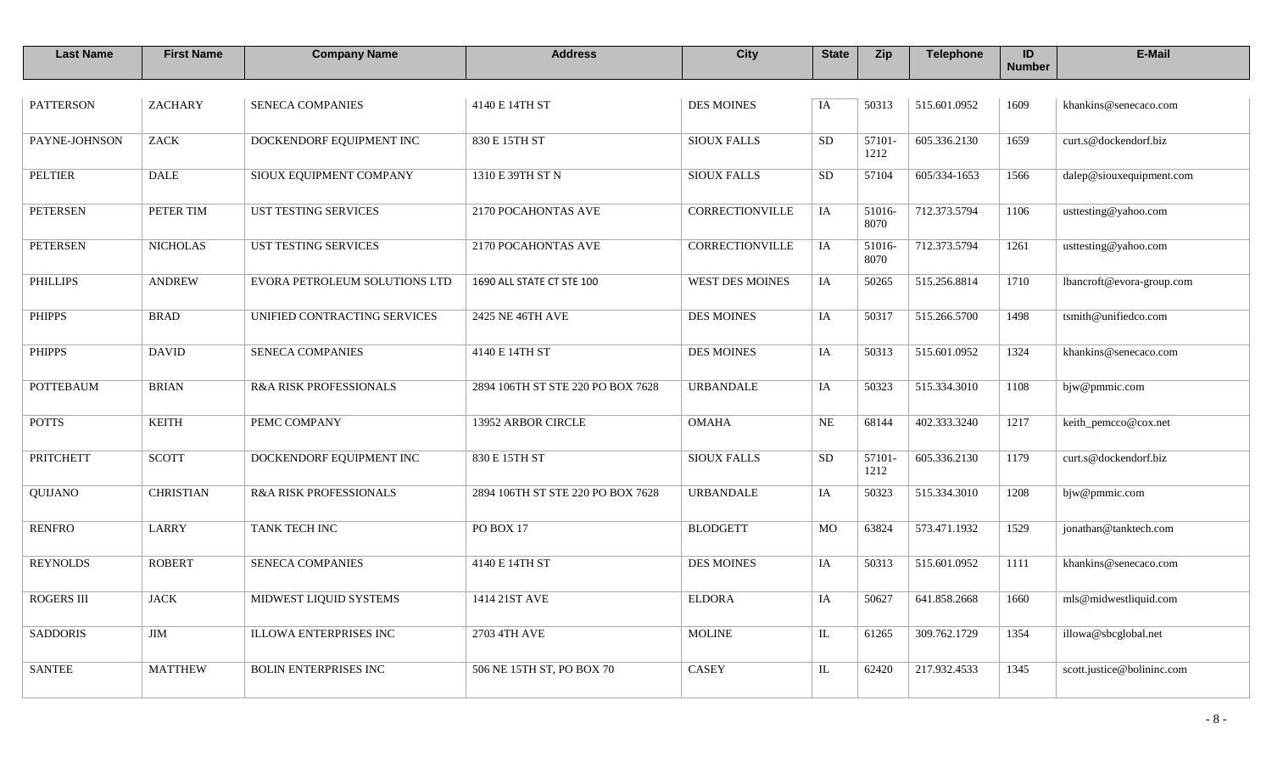| <b>Last Name</b>  | <b>First Name</b> | <b>Company Name</b>           | <b>Address</b>                    | <b>City</b>            | <b>State</b> | <b>Zip</b>     | <b>Telephone</b> | ID<br><b>Number</b> | E-Mail                     |
|-------------------|-------------------|-------------------------------|-----------------------------------|------------------------|--------------|----------------|------------------|---------------------|----------------------------|
| <b>PATTERSON</b>  | <b>ZACHARY</b>    | <b>SENECA COMPANIES</b>       | 4140 E 14TH ST                    | <b>DES MOINES</b>      | IA           | 50313          | 515.601.0952     | 1609                | khankins@senecaco.com      |
| PAYNE-JOHNSON     | ZACK              | DOCKENDORF EQUIPMENT INC      | 830 E 15TH ST                     | <b>SIOUX FALLS</b>     | <b>SD</b>    | 57101-<br>1212 | 605.336.2130     | 1659                | curt.s@dockendorf.biz      |
| <b>PELTIER</b>    | <b>DALE</b>       | SIOUX EQUIPMENT COMPANY       | 1310 E 39TH ST N                  | <b>SIOUX FALLS</b>     | <b>SD</b>    | 57104          | 605/334-1653     | 1566                | dalep@siouxequipment.com   |
| <b>PETERSEN</b>   | <b>PETER TIM</b>  | <b>UST TESTING SERVICES</b>   | 2170 POCAHONTAS AVE               | <b>CORRECTIONVILLE</b> | IA           | 51016-<br>8070 | 712.373.5794     | 1106                | usttesting@yahoo.com       |
| <b>PETERSEN</b>   | <b>NICHOLAS</b>   | <b>UST TESTING SERVICES</b>   | 2170 POCAHONTAS AVE               | <b>CORRECTIONVILLE</b> | IA           | 51016-<br>8070 | 712.373.5794     | 1261                | usttesting@yahoo.com       |
| <b>PHILLIPS</b>   | <b>ANDREW</b>     | EVORA PETROLEUM SOLUTIONS LTD | 1690 ALL STATE CT STE 100         | <b>WEST DES MOINES</b> | IA           | 50265          | 515.256.8814     | 1710                | Ibancroft@evora-group.com  |
| <b>PHIPPS</b>     | BRAD              | UNIFIED CONTRACTING SERVICES  | 2425 NE 46TH AVE                  | <b>DES MOINES</b>      | IA           | 50317          | 515.266.5700     | 1498                | tsmith@unifiedco.com       |
| <b>PHIPPS</b>     | <b>DAVID</b>      | SENECA COMPANIES              | 4140 E 14TH ST                    | <b>DES MOINES</b>      | IA           | 50313          | 515.601.0952     | 1324                | khankins@senecaco.com      |
| <b>POTTEBAUM</b>  | <b>BRIAN</b>      | R&A RISK PROFESSIONALS        | 2894 106TH ST STE 220 PO BOX 7628 | <b>URBANDALE</b>       | IA           | 50323          | 515.334.3010     | 1108                | bjw@pmmic.com              |
| <b>POTTS</b>      | <b>KEITH</b>      | PEMC COMPANY                  | 13952 ARBOR CIRCLE                | <b>OMAHA</b>           | NE           | 68144          | 402.333.3240     | 1217                | keith_pemcco@cox.net       |
| <b>PRITCHETT</b>  | <b>SCOTT</b>      | DOCKENDORF EQUIPMENT INC      | 830 E 15TH ST                     | <b>SIOUX FALLS</b>     | <b>SD</b>    | 57101-<br>1212 | 605.336.2130     | 1179                | curt.s@dockendorf.biz      |
| QUIJANO           | <b>CHRISTIAN</b>  | R&A RISK PROFESSIONALS        | 2894 106TH ST STE 220 PO BOX 7628 | <b>URBANDALE</b>       | IA           | 50323          | 515.334.3010     | 1208                | bjw@pmmic.com              |
| <b>RENFRO</b>     | <b>LARRY</b>      | TANK TECH INC                 | PO BOX 17                         | <b>BLODGETT</b>        | MO           | 63824          | 573.471.1932     | 1529                | jonathan@tanktech.com      |
| <b>REYNOLDS</b>   | <b>ROBERT</b>     | <b>SENECA COMPANIES</b>       | 4140 E 14TH ST                    | <b>DES MOINES</b>      | IA           | 50313          | 515.601.0952     | 1111                | khankins@senecaco.com      |
| <b>ROGERS III</b> | <b>JACK</b>       | MIDWEST LIQUID SYSTEMS        | 1414 21ST AVE                     | <b>ELDORA</b>          | IA           | 50627          | 641.858.2668     | 1660                | mls@midwestliquid.com      |
| <b>SADDORIS</b>   | JIM               | <b>ILLOWA ENTERPRISES INC</b> | 2703 4TH AVE                      | <b>MOLINE</b>          | IL           | 61265          | 309.762.1729     | 1354                | illowa@sbcglobal.net       |
| <b>SANTEE</b>     | <b>MATTHEW</b>    | <b>BOLIN ENTERPRISES INC</b>  | 506 NE 15TH ST, PO BOX 70         | <b>CASEY</b>           | IL           | 62420          | 217.932.4533     | 1345                | scott.justice@bolininc.com |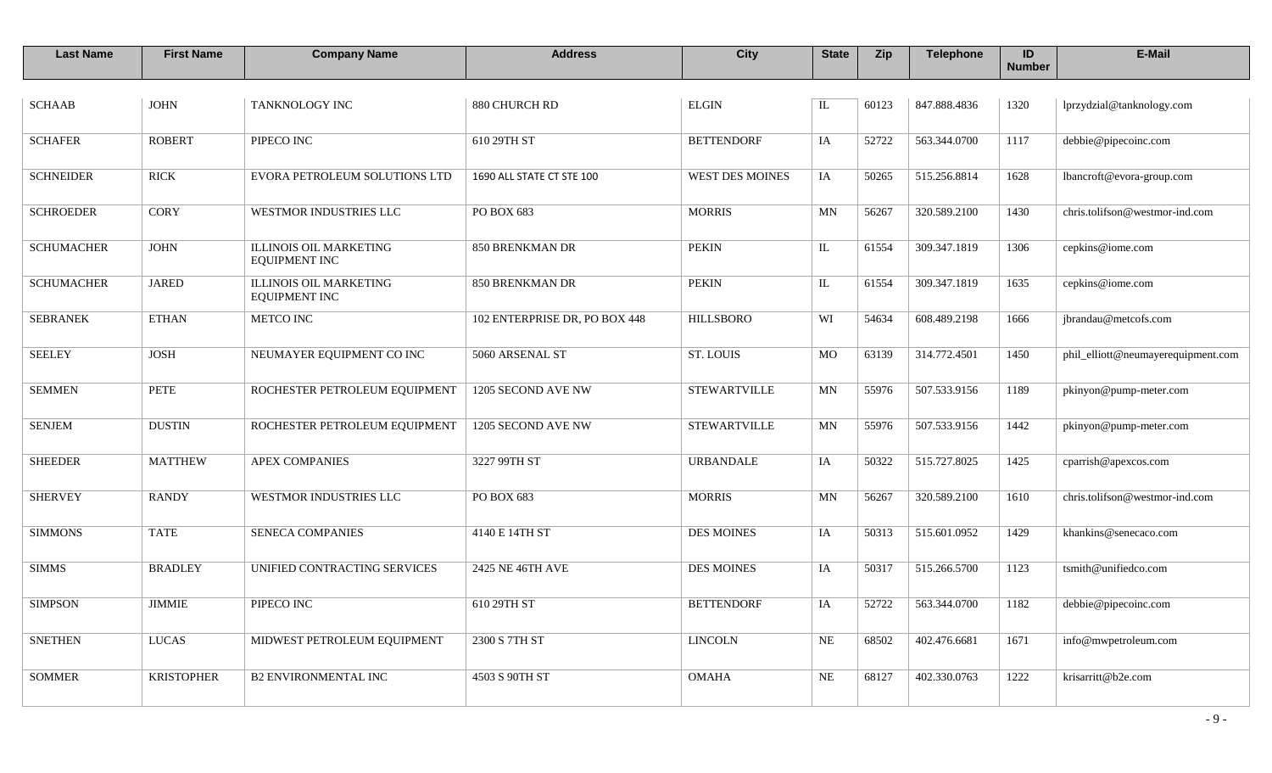| <b>Last Name</b>  | <b>First Name</b>  | <b>Company Name</b>                                   | <b>Address</b>                | <b>City</b>            | <b>State</b> | Zip   | <b>Telephone</b> | ID<br><b>Number</b> | E-Mail                             |
|-------------------|--------------------|-------------------------------------------------------|-------------------------------|------------------------|--------------|-------|------------------|---------------------|------------------------------------|
| <b>SCHAAB</b>     | <b>JOHN</b>        | TANKNOLOGY INC                                        | 880 CHURCH RD                 | $\rm ELGIN$            | IL           | 60123 | 847.888.4836     | 1320                | lprzydzial@tanknology.com          |
| <b>SCHAFER</b>    | <b>ROBERT</b>      | PIPECO INC                                            | 610 29TH ST                   | <b>BETTENDORF</b>      | IA           | 52722 | 563.344.0700     | 1117                | debbie@pipecoinc.com               |
| <b>SCHNEIDER</b>  | <b>RICK</b>        | EVORA PETROLEUM SOLUTIONS LTD                         | 1690 ALL STATE CT STE 100     | <b>WEST DES MOINES</b> | IA           | 50265 | 515.256.8814     | 1628                | lbancroft@evora-group.com          |
| <b>SCHROEDER</b>  | <b>CORY</b>        | WESTMOR INDUSTRIES LLC                                | PO BOX 683                    | <b>MORRIS</b>          | MN           | 56267 | 320.589.2100     | 1430                | chris.tolifson@westmor-ind.com     |
| <b>SCHUMACHER</b> | <b>JOHN</b>        | <b>ILLINOIS OIL MARKETING</b><br><b>EQUIPMENT INC</b> | 850 BRENKMAN DR               | <b>PEKIN</b>           | IL           | 61554 | 309.347.1819     | 1306                | cepkins@iome.com                   |
| <b>SCHUMACHER</b> | <b>JARED</b>       | <b>ILLINOIS OIL MARKETING</b><br><b>EQUIPMENT INC</b> | 850 BRENKMAN DR               | <b>PEKIN</b>           | IL           | 61554 | 309.347.1819     | 1635                | cepkins@iome.com                   |
| <b>SEBRANEK</b>   | <b>ETHAN</b>       | METCO INC                                             | 102 ENTERPRISE DR, PO BOX 448 | <b>HILLSBORO</b>       | WI           | 54634 | 608.489.2198     | 1666                | jbrandau@metcofs.com               |
| <b>SEELEY</b>     | $_{\mathrm{JOSH}}$ | NEUMAYER EQUIPMENT CO INC                             | 5060 ARSENAL ST               | ST. LOUIS              | MO           | 63139 | 314.772.4501     | 1450                | phil_elliott@neumayerequipment.com |
| <b>SEMMEN</b>     | PETE               | ROCHESTER PETROLEUM EQUIPMENT                         | 1205 SECOND AVE NW            | <b>STEWARTVILLE</b>    | MN           | 55976 | 507.533.9156     | 1189                | pkinyon@pump-meter.com             |
| <b>SENJEM</b>     | <b>DUSTIN</b>      | ROCHESTER PETROLEUM EQUIPMENT                         | 1205 SECOND AVE NW            | <b>STEWARTVILLE</b>    | MN           | 55976 | 507.533.9156     | 1442                | pkinyon@pump-meter.com             |
| <b>SHEEDER</b>    | <b>MATTHEW</b>     | APEX COMPANIES                                        | 3227 99TH ST                  | <b>URBANDALE</b>       | IA           | 50322 | 515.727.8025     | 1425                | cparrish@apexcos.com               |
| <b>SHERVEY</b>    | <b>RANDY</b>       | WESTMOR INDUSTRIES LLC                                | PO BOX 683                    | <b>MORRIS</b>          | MN           | 56267 | 320.589.2100     | 1610                | chris.tolifson@westmor-ind.com     |
| <b>SIMMONS</b>    | <b>TATE</b>        | SENECA COMPANIES                                      | 4140 E 14TH ST                | <b>DES MOINES</b>      | IA           | 50313 | 515.601.0952     | 1429                | khankins@senecaco.com              |
| <b>SIMMS</b>      | <b>BRADLEY</b>     | UNIFIED CONTRACTING SERVICES                          | 2425 NE 46TH AVE              | <b>DES MOINES</b>      | IA           | 50317 | 515.266.5700     | 1123                | tsmith@unifiedco.com               |
| <b>SIMPSON</b>    | <b>JIMMIE</b>      | PIPECO INC                                            | 610 29TH ST                   | <b>BETTENDORF</b>      | IA           | 52722 | 563.344.0700     | 1182                | debbie@pipecoinc.com               |
| <b>SNETHEN</b>    | <b>LUCAS</b>       | MIDWEST PETROLEUM EQUIPMENT                           | 2300 S 7TH ST                 | <b>LINCOLN</b>         | $\rm NE$     | 68502 | 402.476.6681     | 1671                | info@mwpetroleum.com               |
| <b>SOMMER</b>     | <b>KRISTOPHER</b>  | <b>B2 ENVIRONMENTAL INC</b>                           | 4503 S 90TH ST                | <b>OMAHA</b>           | NE           | 68127 | 402.330.0763     | 1222                | krisarritt@b2e.com                 |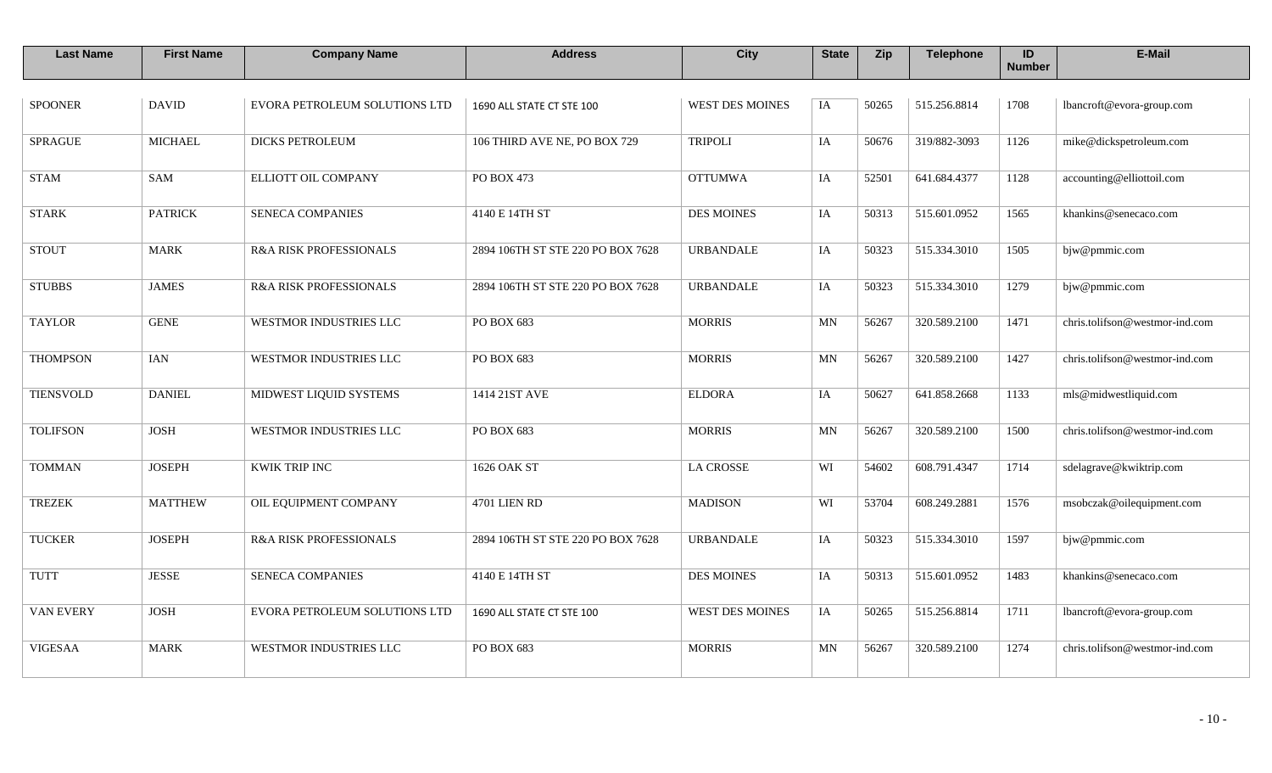| <b>Last Name</b> | <b>First Name</b> | <b>Company Name</b>               | <b>Address</b>                    | <b>City</b>            | <b>State</b> | Zip   | <b>Telephone</b> | ID<br><b>Number</b> | E-Mail                         |
|------------------|-------------------|-----------------------------------|-----------------------------------|------------------------|--------------|-------|------------------|---------------------|--------------------------------|
| <b>SPOONER</b>   | <b>DAVID</b>      | EVORA PETROLEUM SOLUTIONS LTD     | 1690 ALL STATE CT STE 100         | <b>WEST DES MOINES</b> | IA           | 50265 | 515.256.8814     | 1708                | lbancroft@evora-group.com      |
| <b>SPRAGUE</b>   | <b>MICHAEL</b>    | <b>DICKS PETROLEUM</b>            | 106 THIRD AVE NE, PO BOX 729      | <b>TRIPOLI</b>         | IA           | 50676 | 319/882-3093     | 1126                | mike@dickspetroleum.com        |
| <b>STAM</b>      | SAM               | ELLIOTT OIL COMPANY               | PO BOX 473                        | <b>OTTUMWA</b>         | IA           | 52501 | 641.684.4377     | 1128                | accounting@elliottoil.com      |
| <b>STARK</b>     | <b>PATRICK</b>    | <b>SENECA COMPANIES</b>           | 4140 E 14TH ST                    | DES MOINES             | IA           | 50313 | 515.601.0952     | 1565                | khankins@senecaco.com          |
| <b>STOUT</b>     | <b>MARK</b>       | <b>R&amp;A RISK PROFESSIONALS</b> | 2894 106TH ST STE 220 PO BOX 7628 | <b>URBANDALE</b>       | IA           | 50323 | 515.334.3010     | 1505                | bjw@pmmic.com                  |
| <b>STUBBS</b>    | <b>JAMES</b>      | R&A RISK PROFESSIONALS            | 2894 106TH ST STE 220 PO BOX 7628 | <b>URBANDALE</b>       | IA           | 50323 | 515.334.3010     | 1279                | bjw@pmmic.com                  |
| <b>TAYLOR</b>    | <b>GENE</b>       | WESTMOR INDUSTRIES LLC            | PO BOX 683                        | <b>MORRIS</b>          | MN           | 56267 | 320.589.2100     | 1471                | chris.tolifson@westmor-ind.com |
| <b>THOMPSON</b>  | <b>IAN</b>        | WESTMOR INDUSTRIES LLC            | PO BOX 683                        | <b>MORRIS</b>          | MN           | 56267 | 320.589.2100     | 1427                | chris.tolifson@westmor-ind.com |
| <b>TIENSVOLD</b> | <b>DANIEL</b>     | MIDWEST LIQUID SYSTEMS            | 1414 21ST AVE                     | <b>ELDORA</b>          | IA           | 50627 | 641.858.2668     | 1133                | mls@midwestliquid.com          |
| <b>TOLIFSON</b>  | <b>JOSH</b>       | WESTMOR INDUSTRIES LLC            | PO BOX 683                        | <b>MORRIS</b>          | MN           | 56267 | 320.589.2100     | 1500                | chris.tolifson@westmor-ind.com |
| <b>TOMMAN</b>    | <b>JOSEPH</b>     | KWIK TRIP INC                     | 1626 OAK ST                       | <b>LA CROSSE</b>       | WI           | 54602 | 608.791.4347     | 1714                | sdelagrave@kwiktrip.com        |
| <b>TREZEK</b>    | <b>MATTHEW</b>    | OIL EQUIPMENT COMPANY             | <b>4701 LIEN RD</b>               | <b>MADISON</b>         | WI           | 53704 | 608.249.2881     | 1576                | msobczak@oilequipment.com      |
| <b>TUCKER</b>    | <b>JOSEPH</b>     | R&A RISK PROFESSIONALS            | 2894 106TH ST STE 220 PO BOX 7628 | <b>URBANDALE</b>       | IA           | 50323 | 515.334.3010     | 1597                | bjw@pmmic.com                  |
| <b>TUTT</b>      | <b>JESSE</b>      | <b>SENECA COMPANIES</b>           | 4140 E 14TH ST                    | <b>DES MOINES</b>      | IA           | 50313 | 515.601.0952     | 1483                | khankins@senecaco.com          |
| VAN EVERY        | <b>JOSH</b>       | EVORA PETROLEUM SOLUTIONS LTD     | 1690 ALL STATE CT STE 100         | <b>WEST DES MOINES</b> | IA           | 50265 | 515.256.8814     | 1711                | lbancroft@evora-group.com      |
| <b>VIGESAA</b>   | <b>MARK</b>       | WESTMOR INDUSTRIES LLC            | PO BOX 683                        | <b>MORRIS</b>          | MN           | 56267 | 320.589.2100     | 1274                | chris.tolifson@westmor-ind.com |